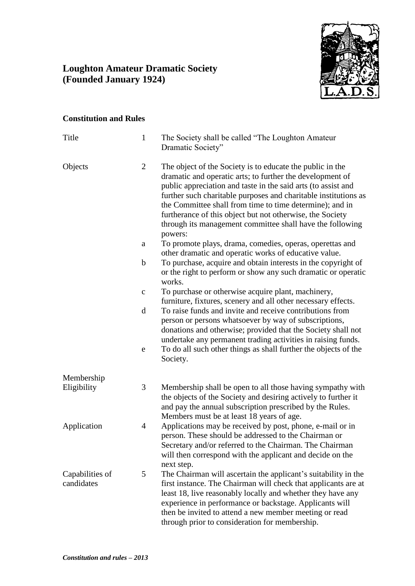## **Loughton Amateur Dramatic Society (Founded January 1924)**



## **Constitution and Rules**

| Title                         | $\mathbf{1}$   | The Society shall be called "The Loughton Amateur<br>Dramatic Society"                                                                                                                                                                                                                                                                                                                                                                                      |
|-------------------------------|----------------|-------------------------------------------------------------------------------------------------------------------------------------------------------------------------------------------------------------------------------------------------------------------------------------------------------------------------------------------------------------------------------------------------------------------------------------------------------------|
| Objects                       | $\overline{2}$ | The object of the Society is to educate the public in the<br>dramatic and operatic arts; to further the development of<br>public appreciation and taste in the said arts (to assist and<br>further such charitable purposes and charitable institutions as<br>the Committee shall from time to time determine); and in<br>furtherance of this object but not otherwise, the Society<br>through its management committee shall have the following<br>powers: |
|                               | a              | To promote plays, drama, comedies, operas, operettas and<br>other dramatic and operatic works of educative value.                                                                                                                                                                                                                                                                                                                                           |
|                               | $\mathbf b$    | To purchase, acquire and obtain interests in the copyright of<br>or the right to perform or show any such dramatic or operatic<br>works.                                                                                                                                                                                                                                                                                                                    |
|                               | $\mathbf C$    | To purchase or otherwise acquire plant, machinery,<br>furniture, fixtures, scenery and all other necessary effects.                                                                                                                                                                                                                                                                                                                                         |
|                               | d              | To raise funds and invite and receive contributions from<br>person or persons whatsoever by way of subscriptions,<br>donations and otherwise; provided that the Society shall not<br>undertake any permanent trading activities in raising funds.                                                                                                                                                                                                           |
|                               | e              | To do all such other things as shall further the objects of the<br>Society.                                                                                                                                                                                                                                                                                                                                                                                 |
| Membership                    |                |                                                                                                                                                                                                                                                                                                                                                                                                                                                             |
| Eligibility                   | 3              | Membership shall be open to all those having sympathy with<br>the objects of the Society and desiring actively to further it<br>and pay the annual subscription prescribed by the Rules.<br>Members must be at least 18 years of age.                                                                                                                                                                                                                       |
| Application                   | 4              | Applications may be received by post, phone, e-mail or in<br>person. These should be addressed to the Chairman or<br>Secretary and/or referred to the Chairman. The Chairman<br>will then correspond with the applicant and decide on the<br>next step.                                                                                                                                                                                                     |
| Capabilities of<br>candidates | 5              | The Chairman will ascertain the applicant's suitability in the<br>first instance. The Chairman will check that applicants are at<br>least 18, live reasonably locally and whether they have any<br>experience in performance or backstage. Applicants will<br>then be invited to attend a new member meeting or read<br>through prior to consideration for membership.                                                                                      |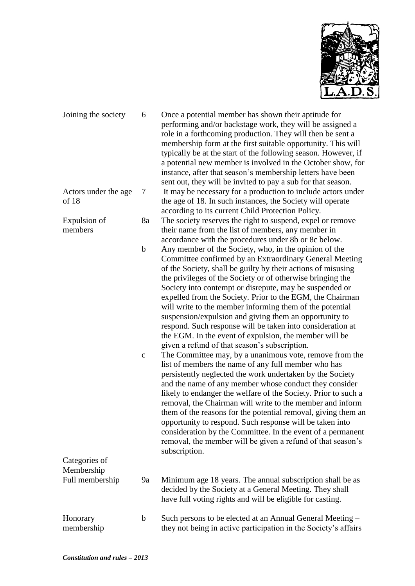

| Joining the society           | 6                          | Once a potential member has shown their aptitude for<br>performing and/or backstage work, they will be assigned a<br>role in a forthcoming production. They will then be sent a<br>membership form at the first suitable opportunity. This will<br>typically be at the start of the following season. However, if<br>a potential new member is involved in the October show, for<br>instance, after that season's membership letters have been<br>sent out, they will be invited to pay a sub for that season.                                                                                                                                                                                                                                                                                                                                                                                                                                                                                                                                                                                                                                                                                                                                                                                                            |
|-------------------------------|----------------------------|---------------------------------------------------------------------------------------------------------------------------------------------------------------------------------------------------------------------------------------------------------------------------------------------------------------------------------------------------------------------------------------------------------------------------------------------------------------------------------------------------------------------------------------------------------------------------------------------------------------------------------------------------------------------------------------------------------------------------------------------------------------------------------------------------------------------------------------------------------------------------------------------------------------------------------------------------------------------------------------------------------------------------------------------------------------------------------------------------------------------------------------------------------------------------------------------------------------------------------------------------------------------------------------------------------------------------|
| Actors under the age<br>of 18 | 7                          | It may be necessary for a production to include actors under<br>the age of 18. In such instances, the Society will operate<br>according to its current Child Protection Policy.                                                                                                                                                                                                                                                                                                                                                                                                                                                                                                                                                                                                                                                                                                                                                                                                                                                                                                                                                                                                                                                                                                                                           |
| Expulsion of<br>members       | 8a                         | The society reserves the right to suspend, expel or remove<br>their name from the list of members, any member in<br>accordance with the procedures under 8b or 8c below.                                                                                                                                                                                                                                                                                                                                                                                                                                                                                                                                                                                                                                                                                                                                                                                                                                                                                                                                                                                                                                                                                                                                                  |
|                               | $\mathbf b$<br>$\mathbf c$ | Any member of the Society, who, in the opinion of the<br>Committee confirmed by an Extraordinary General Meeting<br>of the Society, shall be guilty by their actions of misusing<br>the privileges of the Society or of otherwise bringing the<br>Society into contempt or disrepute, may be suspended or<br>expelled from the Society. Prior to the EGM, the Chairman<br>will write to the member informing them of the potential<br>suspension/expulsion and giving them an opportunity to<br>respond. Such response will be taken into consideration at<br>the EGM. In the event of expulsion, the member will be<br>given a refund of that season's subscription.<br>The Committee may, by a unanimous vote, remove from the<br>list of members the name of any full member who has<br>persistently neglected the work undertaken by the Society<br>and the name of any member whose conduct they consider<br>likely to endanger the welfare of the Society. Prior to such a<br>removal, the Chairman will write to the member and inform<br>them of the reasons for the potential removal, giving them an<br>opportunity to respond. Such response will be taken into<br>consideration by the Committee. In the event of a permanent<br>removal, the member will be given a refund of that season's<br>subscription. |
| Categories of                 |                            |                                                                                                                                                                                                                                                                                                                                                                                                                                                                                                                                                                                                                                                                                                                                                                                                                                                                                                                                                                                                                                                                                                                                                                                                                                                                                                                           |
| Membership<br>Full membership | 9a                         | Minimum age 18 years. The annual subscription shall be as<br>decided by the Society at a General Meeting. They shall<br>have full voting rights and will be eligible for casting.                                                                                                                                                                                                                                                                                                                                                                                                                                                                                                                                                                                                                                                                                                                                                                                                                                                                                                                                                                                                                                                                                                                                         |
| Honorary<br>membership        | $\mathbf b$                | Such persons to be elected at an Annual General Meeting –<br>they not being in active participation in the Society's affairs                                                                                                                                                                                                                                                                                                                                                                                                                                                                                                                                                                                                                                                                                                                                                                                                                                                                                                                                                                                                                                                                                                                                                                                              |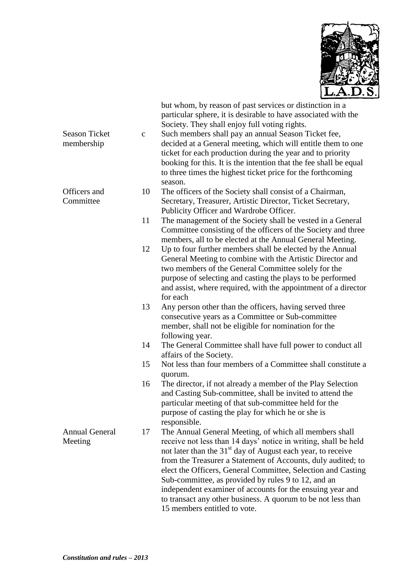

|                       |              | but whom, by reason of past services or distinction in a<br>particular sphere, it is desirable to have associated with the<br>Society. They shall enjoy full voting rights. |
|-----------------------|--------------|-----------------------------------------------------------------------------------------------------------------------------------------------------------------------------|
| <b>Season Ticket</b>  | $\mathbf{C}$ | Such members shall pay an annual Season Ticket fee,                                                                                                                         |
| membership            |              | decided at a General meeting, which will entitle them to one                                                                                                                |
|                       |              | ticket for each production during the year and to priority                                                                                                                  |
|                       |              | booking for this. It is the intention that the fee shall be equal                                                                                                           |
|                       |              | to three times the highest ticket price for the forthcoming                                                                                                                 |
|                       |              | season.                                                                                                                                                                     |
| Officers and          | 10           | The officers of the Society shall consist of a Chairman,                                                                                                                    |
| Committee             |              | Secretary, Treasurer, Artistic Director, Ticket Secretary,                                                                                                                  |
|                       |              | Publicity Officer and Wardrobe Officer.                                                                                                                                     |
|                       | 11           | The management of the Society shall be vested in a General                                                                                                                  |
|                       |              | Committee consisting of the officers of the Society and three                                                                                                               |
|                       |              | members, all to be elected at the Annual General Meeting.                                                                                                                   |
|                       | 12           | Up to four further members shall be elected by the Annual                                                                                                                   |
|                       |              | General Meeting to combine with the Artistic Director and                                                                                                                   |
|                       |              | two members of the General Committee solely for the                                                                                                                         |
|                       |              | purpose of selecting and casting the plays to be performed                                                                                                                  |
|                       |              | and assist, where required, with the appointment of a director                                                                                                              |
|                       |              | for each                                                                                                                                                                    |
|                       | 13           | Any person other than the officers, having served three                                                                                                                     |
|                       |              | consecutive years as a Committee or Sub-committee<br>member, shall not be eligible for nomination for the                                                                   |
|                       |              | following year.                                                                                                                                                             |
|                       | 14           | The General Committee shall have full power to conduct all                                                                                                                  |
|                       |              | affairs of the Society.                                                                                                                                                     |
|                       | 15           | Not less than four members of a Committee shall constitute a                                                                                                                |
|                       |              | quorum.                                                                                                                                                                     |
|                       | 16           | The director, if not already a member of the Play Selection                                                                                                                 |
|                       |              | and Casting Sub-committee, shall be invited to attend the<br>particular meeting of that sub-committee held for the                                                          |
|                       |              | purpose of casting the play for which he or she is                                                                                                                          |
|                       |              | responsible.                                                                                                                                                                |
| <b>Annual General</b> | 17           | The Annual General Meeting, of which all members shall                                                                                                                      |
| Meeting               |              | receive not less than 14 days' notice in writing, shall be held                                                                                                             |
|                       |              | not later than the 31 <sup>st</sup> day of August each year, to receive                                                                                                     |
|                       |              | from the Treasurer a Statement of Accounts, duly audited; to                                                                                                                |
|                       |              | elect the Officers, General Committee, Selection and Casting                                                                                                                |
|                       |              | Sub-committee, as provided by rules 9 to 12, and an                                                                                                                         |
|                       |              | independent examiner of accounts for the ensuing year and                                                                                                                   |
|                       |              | to transact any other business. A quorum to be not less than                                                                                                                |
|                       |              | 15 members entitled to vote.                                                                                                                                                |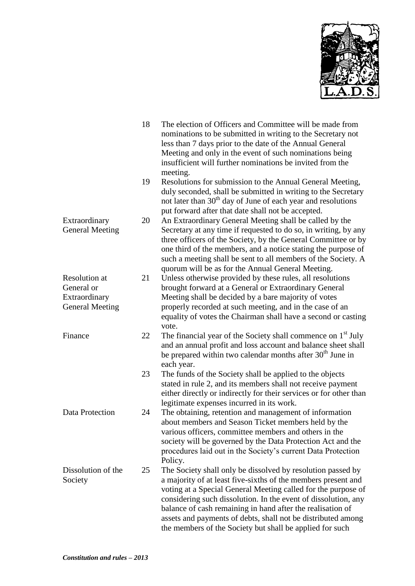

|                                                                               | 18 | The election of Officers and Committee will be made from<br>nominations to be submitted in writing to the Secretary not<br>less than 7 days prior to the date of the Annual General<br>Meeting and only in the event of such nominations being<br>insufficient will further nominations be invited from the<br>meeting.                                                                                                                                   |
|-------------------------------------------------------------------------------|----|-----------------------------------------------------------------------------------------------------------------------------------------------------------------------------------------------------------------------------------------------------------------------------------------------------------------------------------------------------------------------------------------------------------------------------------------------------------|
|                                                                               | 19 | Resolutions for submission to the Annual General Meeting,<br>duly seconded, shall be submitted in writing to the Secretary<br>not later than 30 <sup>th</sup> day of June of each year and resolutions<br>put forward after that date shall not be accepted.                                                                                                                                                                                              |
| Extraordinary<br><b>General Meeting</b>                                       | 20 | An Extraordinary General Meeting shall be called by the<br>Secretary at any time if requested to do so, in writing, by any<br>three officers of the Society, by the General Committee or by<br>one third of the members, and a notice stating the purpose of<br>such a meeting shall be sent to all members of the Society. A<br>quorum will be as for the Annual General Meeting.                                                                        |
| <b>Resolution</b> at<br>General or<br>Extraordinary<br><b>General Meeting</b> | 21 | Unless otherwise provided by these rules, all resolutions<br>brought forward at a General or Extraordinary General<br>Meeting shall be decided by a bare majority of votes<br>properly recorded at such meeting, and in the case of an<br>equality of votes the Chairman shall have a second or casting<br>vote.                                                                                                                                          |
| Finance                                                                       | 22 | The financial year of the Society shall commence on $1st$ July<br>and an annual profit and loss account and balance sheet shall<br>be prepared within two calendar months after 30 <sup>th</sup> June in<br>each year.                                                                                                                                                                                                                                    |
|                                                                               | 23 | The funds of the Society shall be applied to the objects<br>stated in rule 2, and its members shall not receive payment<br>either directly or indirectly for their services or for other than<br>legitimate expenses incurred in its work.                                                                                                                                                                                                                |
| Data Protection                                                               | 24 | The obtaining, retention and management of information<br>about members and Season Ticket members held by the<br>various officers, committee members and others in the<br>society will be governed by the Data Protection Act and the<br>procedures laid out in the Society's current Data Protection<br>Policy.                                                                                                                                          |
| Dissolution of the<br>Society                                                 | 25 | The Society shall only be dissolved by resolution passed by<br>a majority of at least five-sixths of the members present and<br>voting at a Special General Meeting called for the purpose of<br>considering such dissolution. In the event of dissolution, any<br>balance of cash remaining in hand after the realisation of<br>assets and payments of debts, shall not be distributed among<br>the members of the Society but shall be applied for such |